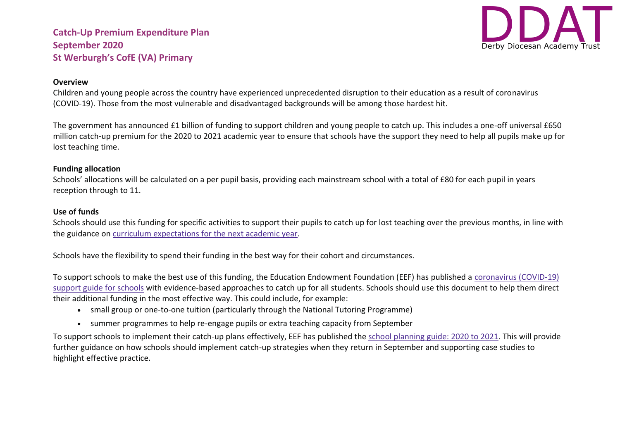

#### **Overview**

Children and young people across the country have experienced unprecedented disruption to their education as a result of coronavirus (COVID-19). Those from the most vulnerable and disadvantaged backgrounds will be among those hardest hit.

The government has announced £1 billion of funding to support children and young people to catch up. This includes a one-off universal £650 million catch-up premium for the 2020 to 2021 academic year to ensure that schools have the support they need to help all pupils make up for lost teaching time.

### **Funding allocation**

Schools' allocations will be calculated on a per pupil basis, providing each mainstream school with a total of £80 for each pupil in years reception through to 11.

#### **Use of funds**

Schools should use this funding for specific activities to support their pupils to catch up for lost teaching over the previous months, in line with the guidance on curriculum [expectations](https://www.gov.uk/government/publications/actions-for-schools-during-the-coronavirus-outbreak/guidance-for-full-opening-schools#section-3-curriculum-behaviour-and-pastoral-support) for the next academic year.

Schools have the flexibility to spend their funding in the best way for their cohort and circumstances.

To support schools to make the best use of this funding, the Education Endowment Foundation (EEF) has published a [coronavirus](https://educationendowmentfoundation.org.uk/covid-19-resources/covid-19-support-guide-for-schools/#nav-covid-19-support-guide-for-schools1) (COVID-19) [support](https://educationendowmentfoundation.org.uk/covid-19-resources/covid-19-support-guide-for-schools/#nav-covid-19-support-guide-for-schools1) guide for schools with evidence-based approaches to catch up for all students. Schools should use this document to help them direct their additional funding in the most effective way. This could include, for example:

- small group or one-to-one tuition (particularly through the National Tutoring Programme)
- summer programmes to help re-engage pupils or extra teaching capacity from September

To support schools to implement their catch-up plans effectively, EEF has published the school [planning](https://educationendowmentfoundation.org.uk/covid-19-resources/guide-to-supporting-schools-planning/) guide: 2020 to 2021. This will provide further guidance on how schools should implement catch-up strategies when they return in September and supporting case studies to highlight effective practice.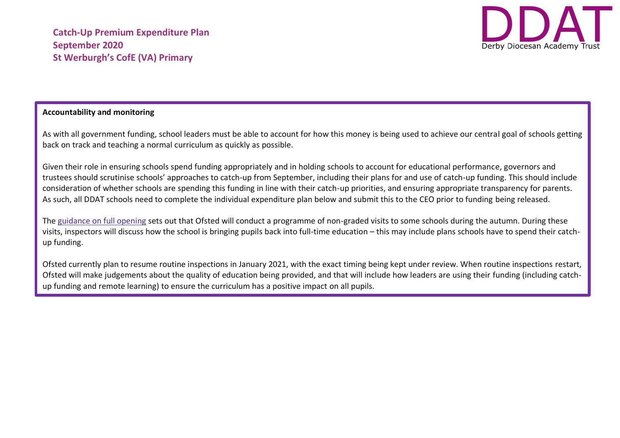

## **Accountability and monitoring**

As with all government funding, school leaders must be able to account for how this money is being used to achieve our central goal of schools getting back on track and teaching a normal curriculum as quickly as possible.

Given their role in ensuring schools spend funding appropriately and in holding schools to account for educational performance, governors and trustees should scrutinise schools' approaches to catch-up from September, including their plans for and use of catch-up funding. This should include consideration of whether schools are spending this funding in line with their catch-up priorities, and ensuring appropriate transparency for parents. As such, all DDAT schools need to complete the individual expenditure plan below and submit this to the CEO prior to funding being released.

The [guidance](https://www.gov.uk/government/publications/actions-for-schools-during-the-coronavirus-outbreak/guidance-for-full-opening-schools) on full opening sets out that Ofsted will conduct a programme of non-graded visits to some schools during the autumn. During these visits, inspectors will discuss how the school is bringing pupils back into full-time education – this may include plans schools have to spend their catchup funding.

Ofsted currently plan to resume routine inspections in January 2021, with the exact timing being kept under review. When routine inspections restart, Ofsted will make judgements about the quality of education being provided, and that will include how leaders are using their funding (including catchup funding and remote learning) to ensure the curriculum has a positive impact on all pupils.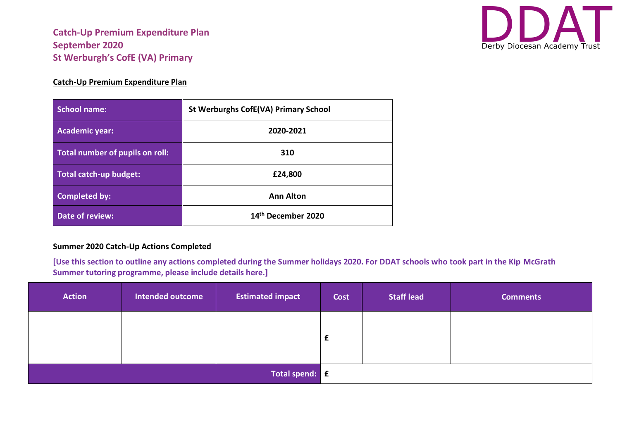

## **Catch-Up Premium Expenditure Plan**

| School name:                    | <b>St Werburghs CofE(VA) Primary School</b> |
|---------------------------------|---------------------------------------------|
| <b>Academic year:</b>           | 2020-2021                                   |
| Total number of pupils on roll: | 310                                         |
| Total catch-up budget:          | £24,800                                     |
| <b>Completed by:</b>            | <b>Ann Alton</b>                            |
| Date of review:                 | 14th December 2020                          |

## **Summer 2020 Catch-Up Actions Completed**

**[Use this section to outline any actions completed during the Summer holidays 2020. For DDAT schools who took part in the Kip McGrath Summer tutoring programme, please include details here.]**

| <b>Action</b>  | Intended outcome | <b>Estimated impact</b> | Cost | <b>Staff lead</b> | <b>Comments</b> |
|----------------|------------------|-------------------------|------|-------------------|-----------------|
|                |                  |                         |      |                   |                 |
|                |                  |                         |      |                   |                 |
| Total spend: E |                  |                         |      |                   |                 |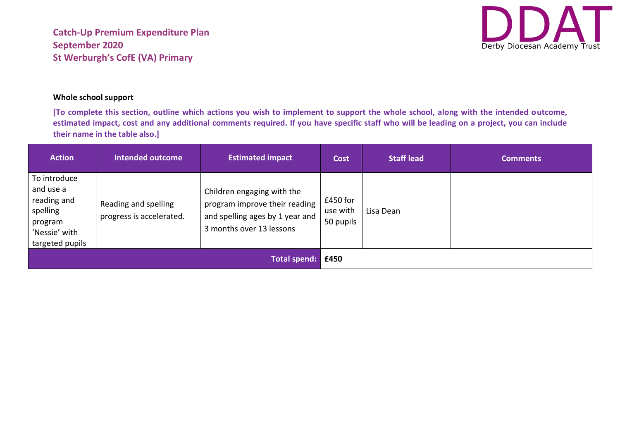

## **Whole school support**

**[To complete this section, outline which actions you wish to implement to support the whole school, along with the intended outcome, estimated impact, cost and any additional comments required. If you have specific staff who will be leading on a project, you can include their name in the table also.]**

| <b>Action</b>                                                                                       | <b>Intended outcome</b>                          | <b>Estimated impact</b>                                                                                                    | <b>Cost</b>                       | <b>Staff lead</b> | <b>Comments</b> |
|-----------------------------------------------------------------------------------------------------|--------------------------------------------------|----------------------------------------------------------------------------------------------------------------------------|-----------------------------------|-------------------|-----------------|
| To introduce<br>and use a<br>reading and<br>spelling<br>program<br>'Nessie' with<br>targeted pupils | Reading and spelling<br>progress is accelerated. | Children engaging with the<br>program improve their reading<br>and spelling ages by 1 year and<br>3 months over 13 lessons | £450 for<br>use with<br>50 pupils | Lisa Dean         |                 |
| <b>Total spend:</b>                                                                                 |                                                  |                                                                                                                            | £450                              |                   |                 |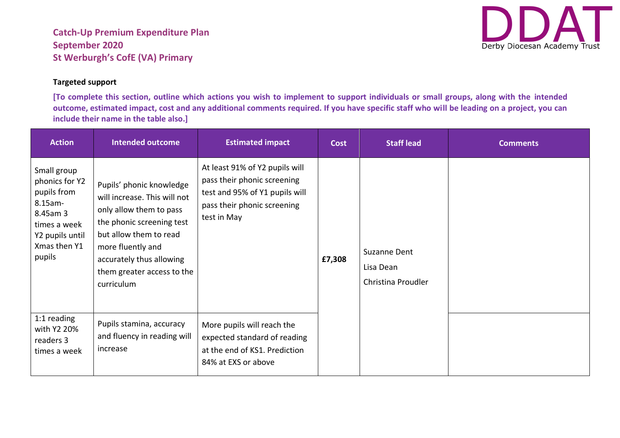# **Targeted support**

**[To complete this section, outline which actions you wish to implement to support individuals or small groups, along with the intended outcome, estimated impact, cost and any additional comments required. If you have specific staff who will be leading on a project, you can include their name in the table also.]**

| <b>Action</b>                                                                                                                    | <b>Intended outcome</b>                                                                                                                                                                                                                 | <b>Estimated impact</b>                                                                                                                       | <b>Cost</b> | <b>Staff lead</b>                               | <b>Comments</b> |
|----------------------------------------------------------------------------------------------------------------------------------|-----------------------------------------------------------------------------------------------------------------------------------------------------------------------------------------------------------------------------------------|-----------------------------------------------------------------------------------------------------------------------------------------------|-------------|-------------------------------------------------|-----------------|
| Small group<br>phonics for Y2<br>pupils from<br>8.15am-<br>8.45am 3<br>times a week<br>Y2 pupils until<br>Xmas then Y1<br>pupils | Pupils' phonic knowledge<br>will increase. This will not<br>only allow them to pass<br>the phonic screening test<br>but allow them to read<br>more fluently and<br>accurately thus allowing<br>them greater access to the<br>curriculum | At least 91% of Y2 pupils will<br>pass their phonic screening<br>test and 95% of Y1 pupils will<br>pass their phonic screening<br>test in May | £7,308      | Suzanne Dent<br>Lisa Dean<br>Christina Proudler |                 |
| 1:1 reading<br>with Y2 20%<br>readers 3<br>times a week                                                                          | Pupils stamina, accuracy<br>and fluency in reading will<br>increase                                                                                                                                                                     | More pupils will reach the<br>expected standard of reading<br>at the end of KS1. Prediction<br>84% at EXS or above                            |             |                                                 |                 |

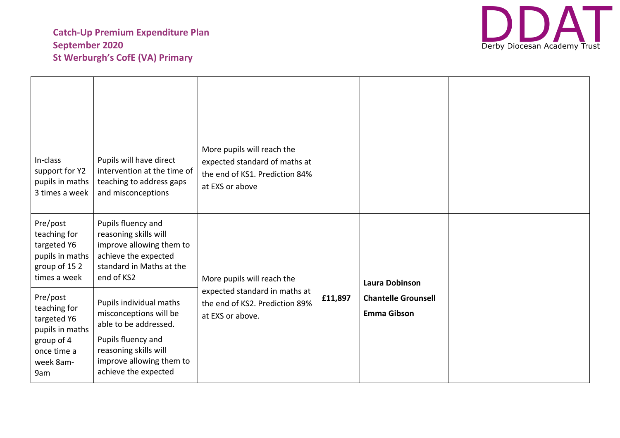

| In-class<br>support for Y2<br>pupils in maths<br>3 times a week                                             | Pupils will have direct<br>intervention at the time of<br>teaching to address gaps<br>and misconceptions                                                                      | More pupils will reach the<br>expected standard of maths at<br>the end of KS1. Prediction 84%<br>at EXS or above |         |                                                  |  |
|-------------------------------------------------------------------------------------------------------------|-------------------------------------------------------------------------------------------------------------------------------------------------------------------------------|------------------------------------------------------------------------------------------------------------------|---------|--------------------------------------------------|--|
| Pre/post<br>teaching for<br>targeted Y6<br>pupils in maths<br>group of 152<br>times a week                  | Pupils fluency and<br>reasoning skills will<br>improve allowing them to<br>achieve the expected<br>standard in Maths at the<br>end of KS2                                     | More pupils will reach the                                                                                       |         | <b>Laura Dobinson</b>                            |  |
| Pre/post<br>teaching for<br>targeted Y6<br>pupils in maths<br>group of 4<br>once time a<br>week 8am-<br>9am | Pupils individual maths<br>misconceptions will be<br>able to be addressed.<br>Pupils fluency and<br>reasoning skills will<br>improve allowing them to<br>achieve the expected | expected standard in maths at<br>the end of KS2. Prediction 89%<br>at EXS or above.                              | £11,897 | <b>Chantelle Grounsell</b><br><b>Emma Gibson</b> |  |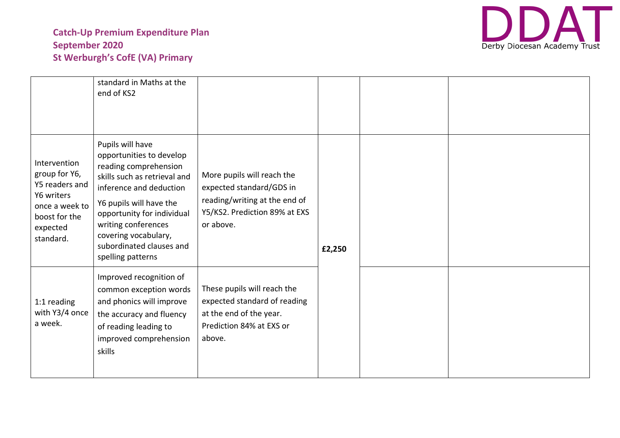

|                                                                                                                           | standard in Maths at the<br>end of KS2                                                                                                                                                                                                                                                    |                                                                                                                                       |        |  |
|---------------------------------------------------------------------------------------------------------------------------|-------------------------------------------------------------------------------------------------------------------------------------------------------------------------------------------------------------------------------------------------------------------------------------------|---------------------------------------------------------------------------------------------------------------------------------------|--------|--|
| Intervention<br>group for Y6,<br>Y5 readers and<br>Y6 writers<br>once a week to<br>boost for the<br>expected<br>standard. | Pupils will have<br>opportunities to develop<br>reading comprehension<br>skills such as retrieval and<br>inference and deduction<br>Y6 pupils will have the<br>opportunity for individual<br>writing conferences<br>covering vocabulary,<br>subordinated clauses and<br>spelling patterns | More pupils will reach the<br>expected standard/GDS in<br>reading/writing at the end of<br>Y5/KS2. Prediction 89% at EXS<br>or above. | £2,250 |  |
| 1:1 reading<br>with Y3/4 once<br>a week.                                                                                  | Improved recognition of<br>common exception words<br>and phonics will improve<br>the accuracy and fluency<br>of reading leading to<br>improved comprehension<br>skills                                                                                                                    | These pupils will reach the<br>expected standard of reading<br>at the end of the year.<br>Prediction 84% at EXS or<br>above.          |        |  |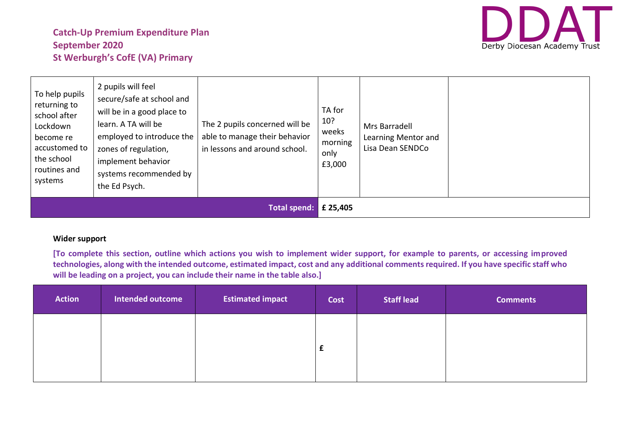

| To help pupils<br>returning to<br>school after<br>Lockdown<br>become re<br>accustomed to<br>the school<br>routines and<br>systems | 2 pupils will feel<br>secure/safe at school and<br>will be in a good place to<br>learn. A TA will be<br>employed to introduce the<br>zones of regulation,<br>implement behavior<br>systems recommended by<br>the Ed Psych. | The 2 pupils concerned will be<br>able to manage their behavior<br>in lessons and around school. | TA for<br>10?<br>weeks<br>morning<br>only<br>£3,000 | Mrs Barradell<br>Learning Mentor and<br>Lisa Dean SENDCo |  |
|-----------------------------------------------------------------------------------------------------------------------------------|----------------------------------------------------------------------------------------------------------------------------------------------------------------------------------------------------------------------------|--------------------------------------------------------------------------------------------------|-----------------------------------------------------|----------------------------------------------------------|--|
|                                                                                                                                   |                                                                                                                                                                                                                            | <b>Total spend:</b>                                                                              | £ 25,405                                            |                                                          |  |

## **Wider support**

**[To complete this section, outline which actions you wish to implement wider support, for example to parents, or accessing improved technologies, along with the intended outcome, estimated impact, cost and any additional comments required. If you have specific staff who will be leading on a project, you can include their name in the table also.]**

| <b>Action</b> | Intended outcome | <b>Estimated impact</b> | Cost | <b>Staff lead</b> | <b>Comments</b> |
|---------------|------------------|-------------------------|------|-------------------|-----------------|
|               |                  |                         |      |                   |                 |
|               |                  |                         | t.   |                   |                 |
|               |                  |                         |      |                   |                 |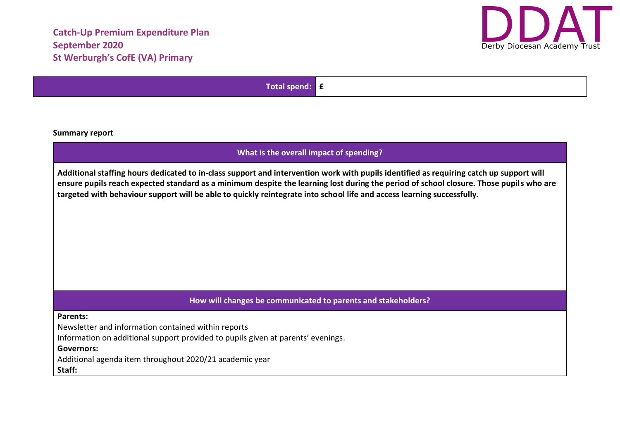

**Total spend: £**

**Summary report**

## **What is the overall impact of spending?**

**Additional staffing hours dedicated to in-class support and intervention work with pupils identified as requiring catch up support will ensure pupils reach expected standard as a minimum despite the learning lost during the period of school closure. Those pupils who are targeted with behaviour support will be able to quickly reintegrate into school life and access learning successfully.** 

## **How will changes be communicated to parents and stakeholders?**

#### **Parents:**

Newsletter and information contained within reports

Information on additional support provided to pupils given at parents' evenings.

### **Governors:**

Additional agenda item throughout 2020/21 academic year

**Staff:**